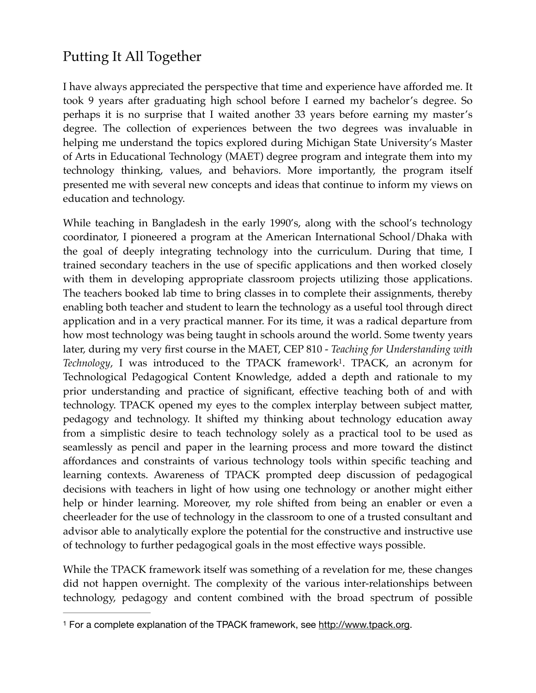## Putting It All Together

I have always appreciated the perspective that time and experience have afforded me. It took 9 years after graduating high school before I earned my bachelor's degree. So perhaps it is no surprise that I waited another 33 years before earning my master's degree. The collection of experiences between the two degrees was invaluable in helping me understand the topics explored during Michigan State University's Master of Arts in Educational Technology (MAET) degree program and integrate them into my technology thinking, values, and behaviors. More importantly, the program itself presented me with several new concepts and ideas that continue to inform my views on education and technology.

<span id="page-0-1"></span>While teaching in Bangladesh in the early 1990's, along with the school's technology coordinator, I pioneered a program at the American International School/Dhaka with the goal of deeply integrating technology into the curriculum. During that time, I trained secondary teachers in the use of specific applications and then worked closely with them in developing appropriate classroom projects utilizing those applications. The teachers booked lab time to bring classes in to complete their assignments, thereby enabling both teacher and student to learn the technology as a useful tool through direct application and in a very practical manner. For its time, it was a radical departure from how most technology was being taught in schools around the world. Some twenty years later, during my very first course in the MAET, CEP 810 - *Teaching for Understanding with Technology*, I was introduced to the TPACK framework<sup>[1](#page-0-0)</sup>. TPACK, an acronym for Technological Pedagogical Content Knowledge, added a depth and rationale to my prior understanding and practice of significant, effective teaching both of and with technology. TPACK opened my eyes to the complex interplay between subject matter, pedagogy and technology. It shifted my thinking about technology education away from a simplistic desire to teach technology solely as a practical tool to be used as seamlessly as pencil and paper in the learning process and more toward the distinct affordances and constraints of various technology tools within specific teaching and learning contexts. Awareness of TPACK prompted deep discussion of pedagogical decisions with teachers in light of how using one technology or another might either help or hinder learning. Moreover, my role shifted from being an enabler or even a cheerleader for the use of technology in the classroom to one of a trusted consultant and advisor able to analytically explore the potential for the constructive and instructive use of technology to further pedagogical goals in the most effective ways possible.

While the TPACK framework itself was something of a revelation for me, these changes did not happen overnight. The complexity of the various inter-relationships between technology, pedagogy and content combined with the broad spectrum of possible

<span id="page-0-0"></span><sup>&</sup>lt;sup>1</sup> For a complete explanation of the TPACK framework, see<http://www.tpack.org>.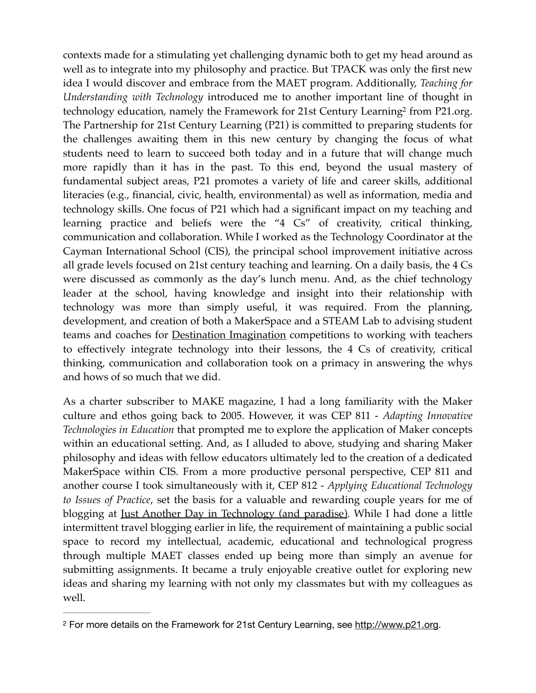<span id="page-1-1"></span>contexts made for a stimulating yet challenging dynamic both to get my head around as well as to integrate into my philosophy and practice. But TPACK was only the first new idea I would discover and embrace from the MAET program. Additionally, *Teaching for Understanding with Technology* introduced me to another important line of thought in technology education, namely the Framework for [2](#page-1-0)1st Century Learning<sup>2</sup> from P21.org. The Partnership for 21st Century Learning (P21) is committed to preparing students for the challenges awaiting them in this new century by changing the focus of what students need to learn to succeed both today and in a future that will change much more rapidly than it has in the past. To this end, beyond the usual mastery of fundamental subject areas, P21 promotes a variety of life and career skills, additional literacies (e.g., financial, civic, health, environmental) as well as information, media and technology skills. One focus of P21 which had a significant impact on my teaching and learning practice and beliefs were the "4 Cs" of creativity, critical thinking, communication and collaboration. While I worked as the Technology Coordinator at the Cayman International School (CIS), the principal school improvement initiative across all grade levels focused on 21st century teaching and learning. On a daily basis, the 4 Cs were discussed as commonly as the day's lunch menu. And, as the chief technology leader at the school, having knowledge and insight into their relationship with technology was more than simply useful, it was required. From the planning, development, and creation of both a MakerSpace and a STEAM Lab to advising student teams and coaches for [Destination Imagination](https://www.destinationimagination.org) competitions to working with teachers to effectively integrate technology into their lessons, the 4 Cs of creativity, critical thinking, communication and collaboration took on a primacy in answering the whys and hows of so much that we did.

As a charter subscriber to MAKE magazine, I had a long familiarity with the Maker culture and ethos going back to 2005. However, it was CEP 811 - *Adapting Innovative Technologies in Education* that prompted me to explore the application of Maker concepts within an educational setting. And, as I alluded to above, studying and sharing Maker philosophy and ideas with fellow educators ultimately led to the creation of a dedicated MakerSpace within CIS. From a more productive personal perspective, CEP 811 and another course I took simultaneously with it, CEP 812 - *Applying Educational Technology to Issues of Practice*, set the basis for a valuable and rewarding couple years for me of blogging at [Just Another Day in Technology \(and paradise\)](https://kjburgam.wordpress.com). While I had done a little intermittent travel blogging earlier in life, the requirement of maintaining a public social space to record my intellectual, academic, educational and technological progress through multiple MAET classes ended up being more than simply an avenue for submitting assignments. It became a truly enjoyable creative outlet for exploring new ideas and sharing my learning with not only my classmates but with my colleagues as well.

<span id="page-1-0"></span><sup>&</sup>lt;sup>2</sup> For more details on the Framework for 21st Century Learning, see [http://www.p21.org.](http://www.p21.org)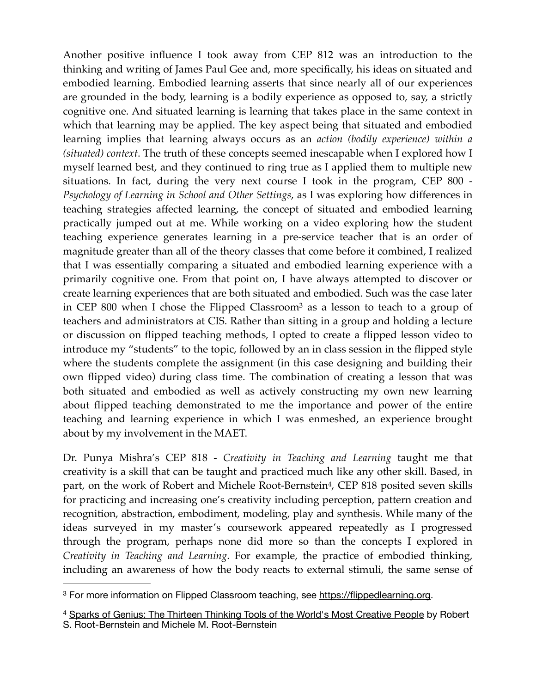Another positive influence I took away from CEP 812 was an introduction to the thinking and writing of James Paul Gee and, more specifically, his ideas on situated and embodied learning. Embodied learning asserts that since nearly all of our experiences are grounded in the body, learning is a bodily experience as opposed to, say, a strictly cognitive one. And situated learning is learning that takes place in the same context in which that learning may be applied. The key aspect being that situated and embodied learning implies that learning always occurs as an *action (bodily experience) within a (situated) context*. The truth of these concepts seemed inescapable when I explored how I myself learned best, and they continued to ring true as I applied them to multiple new situations. In fact, during the very next course I took in the program, CEP 800 - *Psychology of Learning in School and Other Settings*, as I was exploring how differences in teaching strategies affected learning, the concept of situated and embodied learning practically jumped out at me. While working on a video exploring how the student teaching experience generates learning in a pre-service teacher that is an order of magnitude greater than all of the theory classes that come before it combined, I realized that I was essentially comparing a situated and embodied learning experience with a primarily cognitive one. From that point on, I have always attempted to discover or create learning experiences that are both situated and embodied. Such was the case later in CEP 800 when I chose the Flipped Classroo[m](#page-2-0)<sup>[3](#page-2-0)</sup> as a lesson to teach to a group of teachers and administrators at CIS. Rather than sitting in a group and holding a lecture or discussion on flipped teaching methods, I opted to create a flipped lesson video to introduce my "students" to the topic, followed by an in class session in the flipped style where the students complete the assignment (in this case designing and building their own flipped video) during class time. The combination of creating a lesson that was both situated and embodied as well as actively constructing my own new learning about flipped teaching demonstrated to me the importance and power of the entire teaching and learning experience in which I was enmeshed, an experience brought about by my involvement in the MAET.

<span id="page-2-3"></span><span id="page-2-2"></span>Dr. Punya Mishra's CEP 818 - *Creativity in Teaching and Learning* taught me that creativity is a skill that can be taught and practiced much like any other skill. Based, in part[,](#page-2-1) on the work of Robert and Michele Root-Bernstein<sup>[4](#page-2-1)</sup>, CEP 818 posited seven skills for practicing and increasing one's creativity including perception, pattern creation and recognition, abstraction, embodiment, modeling, play and synthesis. While many of the ideas surveyed in my master's coursework appeared repeatedly as I progressed through the program, perhaps none did more so than the concepts I explored in *Creativity in Teaching and Learning*. For example, the practice of embodied thinking, including an awareness of how the body reacts to external stimuli, the same sense of

<span id="page-2-0"></span><sup>&</sup>lt;sup>3</sup> For more information on Flipped Classroom teaching, see <https://flippedlearning.org>.

<span id="page-2-1"></span><sup>&</sup>lt;sup>[4](#page-2-3)</sup> Sparks of Genius: The Thirteen Thinking Tools of the World's Most Creative People by Robert S. Root-Bernstein and Michele M. Root-Bernstein